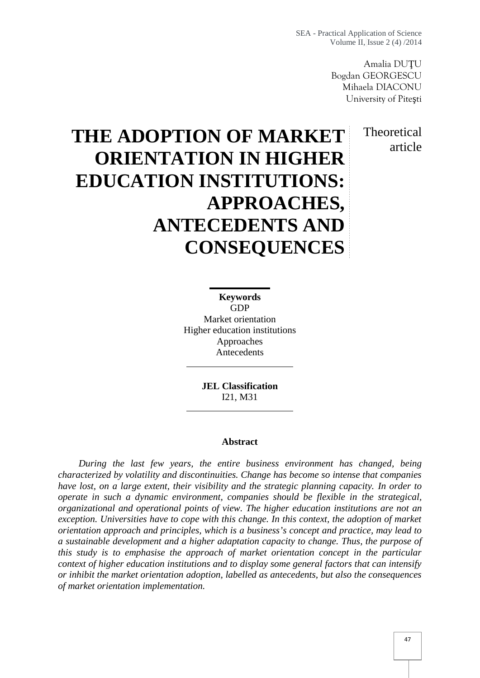SEA - Practical Application of Science Volume II, Issue 2 (4) /2014

> Amalia DU U Bogdan GEORGESCU Mihaela DIACONU University of Pite ti

> > **Theoretical** article

# **THE ADOPTION OF MARKET ORIENTATION IN HIGHER EDUCATION INSTITUTIONS: APPROACHES, ANTECEDENTS AND CONSEQUENCES**

**Keywords** GDP Market orientation Higher education institutions Approaches Antecedents

> **JEL Classification** I21, M31

#### **Abstract**

*During the last few years, the entire business environment has changed, being characterized by volatility and discontinuities. Change has become so intense that companies have lost, on a large extent, their visibility and the strategic planning capacity. In order to operate in such a dynamic environment, companies should be flexible in the strategical, organizational and operational points of view. The higher education institutions are not an exception. Universities have to cope with this change. In this context, the adoption of market orientation approach and principles, which is a business's concept and practice, may lead to a sustainable development and a higher adaptation capacity to change. Thus, the purpose of this study is to emphasise the approach of market orientation concept in the particular context of higher education institutions and to display some general factors that can intensify or inhibit the market orientation adoption, labelled as antecedents, but also the consequences of market orientation implementation.*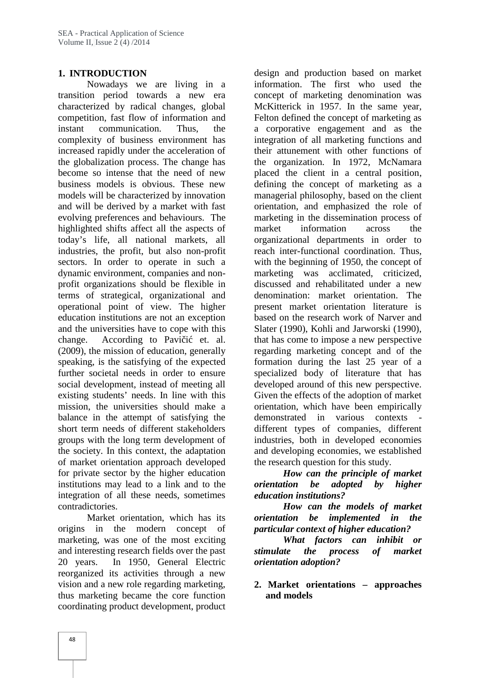#### **1. INTRODUCTION**

Nowadays we are living in a transition period towards a new era characterized by radical changes, global competition, fast flow of information and instant communication. Thus, the complexity of business environment has increased rapidly under the acceleration of the globalization process. The change has become so intense that the need of new business models is obvious. These new models will be characterized by innovation and will be derived by a market with fast evolving preferences and behaviours. The highlighted shifts affect all the aspects of today's life, all national markets, all industries, the profit, but also non-profit sectors. In order to operate in such a dynamic environment, companies and non profit organizations should be flexible in terms of strategical, organizational and operational point of view. The higher education institutions are not an exception and the universities have to cope with this change. According to Pavi i et. al. (2009), the mission of education, generally speaking, is the satisfying of the expected further societal needs in order to ensure social development, instead of meeting all existing students' needs. In line with this mission, the universities should make a balance in the attempt of satisfying the short term needs of different stakeholders groups with the long term development of the society. In this context, the adaptation of market orientation approach developed for private sector by the higher education institutions may lead to a link and to the *orientation* integration of all these needs, sometimes contradictories.

Market orientation, which has its origins in the modern concept of marketing, was one of the most exciting and interesting research fields over the past 20 years. In 1950, General Electric reorganized its activities through a new vision and a new role regarding marketing, thus marketing became the core function coordinating product development, product

design and production based on market information. The first who used the concept of marketing denomination was McKitterick in 1957. In the same year, Felton defined the concept of marketing as a corporative engagement and as the integration of all marketing functions and their attunement with other functions of the organization. In 1972, McNamara placed the client in a central position, defining the concept of marketing as a managerial philosophy, based on the client orientation, and emphasized the role of marketing in the dissemination process of market information across the organizational departments in order to reach inter-functional coordination. Thus, with the beginning of 1950, the concept of marketing was acclimated, criticized, discussed and rehabilitated under a new denomination: market orientation. The present market orientation literature is based on the research work of Narver and Slater (1990), Kohli and Jarworski (1990), that has come to impose a new perspective regarding marketing concept and of the formation during the last 25 year of a specialized body of literature that has developed around of this new perspective. Given the effects of the adoption of market orientation, which have been empirically demonstrated in various contexts different types of companies, different industries, both in developed economies and developing economies, we established the research question for this study.

*How can the principle of market be adopted by higher education institutions?*

*How can the models of market orientation be implemented in the particular context of higher education?*

*What factors can inhibit or stimulate the process of market orientation adoption?*

**2. Market orientations – approaches and models**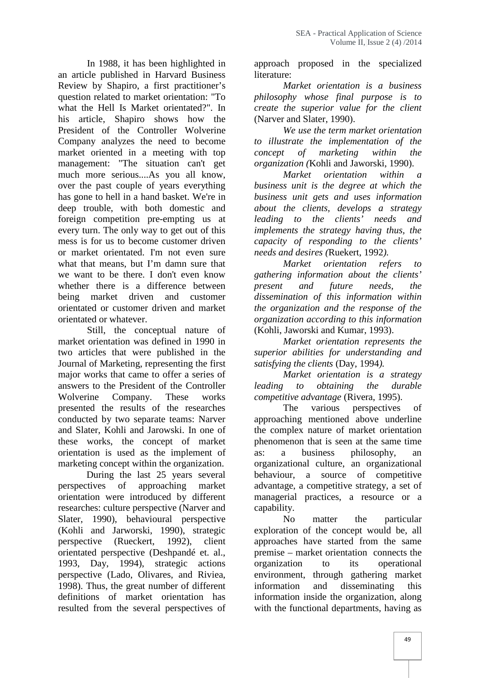In 1988, it has been highlighted in an article published in Harvard Business Review by Shapiro, a first practitioner's question related to market orientation: "To what the Hell Is Market orientated?". In his article, Shapiro shows how the President of the Controller Wolverine Company analyzes the need to become market oriented in a meeting with top management: "The situation can't get much more serious....As you all know, over the past couple of years everything has gone to hell in a hand basket. We're in deep trouble, with both domestic and foreign competition pre-empting us at every turn. The only way to get out of this mess is for us to become customer driven or market orientated. I'm not even sure what that means, but I'm damn sure that we want to be there. I don't even know whether there is a difference between being market driven and customer orientated or customer driven and market orientated or whatever.

Still, the conceptual nature of market orientation was defined in 1990 in two articles that were published in the Journal of Marketing, representing the first major works that came to offer a series of answers to the President of the Controller Wolverine Company. These works presented the results of the researches conducted by two separate teams: Narver and Slater, Kohli and Jarowski. In one of these works, the concept of market orientation is used as the implement of marketing concept within the organization.

During the last 25 years several perspectives of approaching market orientation were introduced by different researches: culture perspective (Narver and Slater, 1990), behavioural perspective (Kohli and Jarworski, 1990), strategic perspective (Rueckert, 1992), client orientated perspective (Deshpandé et. al., 1993, Day, 1994), strategic actions perspective (Lado, Olivares, and Riviea, 1998). Thus, the great number of different definitions of market orientation has resulted from the several perspectives of

approach proposed in the specialized literature:

*Market orientation is a business philosophy whose final purpose is to create the superior value for the client* (Narver and Slater, 1990).

*We use the term market orientation to illustrate the implementation of the concept of marketing within the organization (*Kohli and Jaworski, 1990).

*Market orientation within a business unit is the degree at which the business unit gets and uses information about the clients, develops a strategy leading to the clients' needs and implements the strategy having thus, the capacity of responding to the clients' needs and desires (*Ruekert, 1992*).*

*Market orientation refers to gathering information about the clients' present and future needs, the dissemination of this information within the organization and the response of the organization according to this information* (Kohli, Jaworski and Kumar, 1993).

*Market orientation represents the superior abilities for understanding and satisfying the clients* (Day, 1994*).*

*Market orientation is a strategy leading to obtaining the durable competitive advantage* (Rivera, 1995).

The various perspectives of approaching mentioned above underline the complex nature of market orientation phenomenon that is seen at the same time as: a business philosophy, an organizational culture, an organizational behaviour, a source of competitive advantage, a competitive strategy, a set of managerial practices, a resource or a capability.

No matter the particular exploration of the concept would be, all approaches have started from the same premise – market orientation connects the organization to its operational environment, through gathering market information and disseminating this information inside the organization, along with the functional departments, having as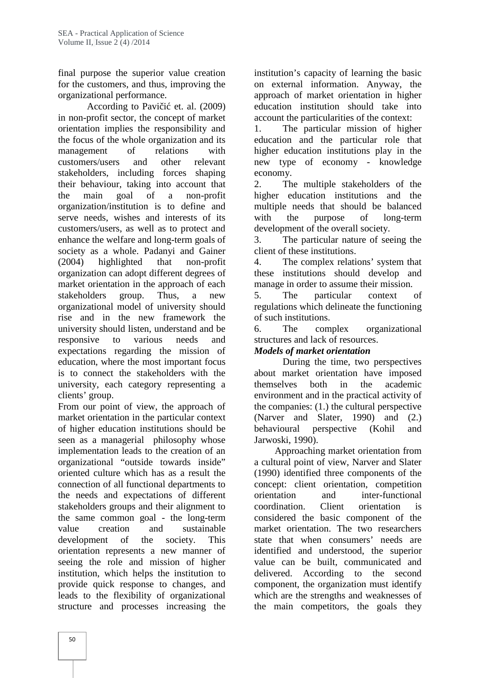final purpose the superior value creation for the customers, and thus, improving the organizational performance.

According to Pavi i et. al.  $(2009)$ in non-profit sector, the concept of market orientation implies the responsibility and the focus of the whole organization and its<br>management of relations with management of relations with customers/users and other relevant stakeholders, including forces shaping their behaviour, taking into account that the main goal of a non-profit organization/institution is to define and serve needs, wishes and interests of its customers/users, as well as to protect and enhance the welfare and long-term goals of society as a whole. Padanyi and Gainer (2004) highlighted that non-profit organization can adopt different degrees of market orientation in the approach of each stakeholders group. Thus, a new organizational model of university should rise and in the new framework the university should listen, understand and be responsive to various needs and expectations regarding the mission of education, where the most important focus is to connect the stakeholders with the university, each category representing a clients' group.

From our point of view, the approach of market orientation in the particular context of higher education institutions should be seen as a managerial philosophy whose implementation leads to the creation of an organizational "outside towards inside" oriented culture which has as a result the connection of all functional departments to the needs and expectations of different stakeholders groups and their alignment to the same common goal - the long-term value creation and sustainable development of the society. This orientation represents a new manner of seeing the role and mission of higher institution, which helps the institution to provide quick response to changes, and leads to the flexibility of organizational structure and processes increasing the

institution's capacity of learning the basic on external information. Anyway, the approach of market orientation in higher education institution should take into account the particularities of the context:

The particular mission of higher education and the particular role that higher education institutions play in the new type of economy -knowledge economy.

2. The multiple stakeholders of the higher education institutions and the multiple needs that should be balanced with the purpose of long-term development of the overall society.

3. The particular nature of seeing the client of these institutions.

4. The complex relations' system that these institutions should develop and manage in order to assume their mission.

The particular context of regulations which delineate the functioning of such institutions.

The complex organizational structures and lack of resources.

### *Models of market orientation*

During the time, two perspectives about market orientation have imposed themselves both in the academic environment and in the practical activity of the companies: (1.) the cultural perspective (Narver and Slater, 1990) and (2.) perspective (Kohil and Jarwoski, 1990).

Approaching market orientation from a cultural point of view, Narver and Slater (1990) identified three components of the concept: client orientation, competition orientation and inter-functional coordination. Client orientation is considered the basic component of the market orientation. The two researchers state that when consumers' needs are identified and understood, the superior value can be built, communicated and delivered. According to the second component, the organization must identify which are the strengths and weaknesses of the main competitors, the goals they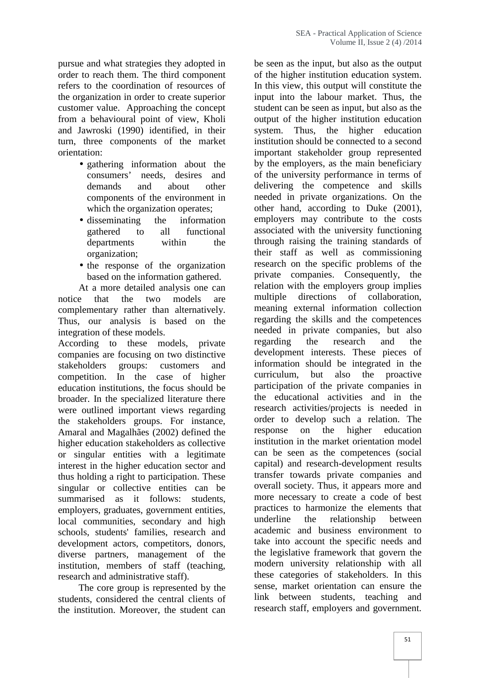pursue and what strategies they adopted in order to reach them. The third component refers to the coordination of resources of the organization in order to create superior customer value. Approaching the concept from a behavioural point of view, Kholi and Jawroski (1990) identified, in their turn, three components of the market orientation:

- gathering information about the consumers' needs, desires and demands and about other components of the environment in which the organization operates;
- disseminating the information gathered to all functional departments within the organization;
- the response of the organization based on the information gathered.

At a more detailed analysis one can notice that the two models are complementary rather than alternatively. Thus, our analysis is based on the integration of these models.

According to these models, private companies are focusing on two distinctive stakeholders groups: customers and information<br>competition In the case of higher curriculum, competition. In the case of higher education institutions, the focus should be broader. In the specialized literature there were outlined important views regarding the stakeholders groups. For instance, Amaral and Magalhães (2002) defined the higher education stakeholders as collective or singular entities with a legitimate interest in the higher education sector and thus holding a right to participation. These singular or collective entities can be summarised as it follows: students, employers, graduates, government entities, local communities, secondary and high underline schools, students' families, research and development actors, competitors, donors, diverse partners, management of the institution, members of staff (teaching, research and administrative staff).

The core group is represented by the students, considered the central clients of the institution. Moreover, the student can

be seen as the input, but also as the output of the higher institution education system. In this view, this output will constitute the input into the labour market. Thus, the student can be seen as input, but also as the output of the higher institution education system. Thus, the higher education institution should be connected to a second important stakeholder group represented by the employers, as the main beneficiary of the university performance in terms of delivering the competence and skills needed in private organizations. On the other hand, according to Duke (2001), employers may contribute to the costs associated with the university functioning through raising the training standards of their staff as well as commissioning research on the specific problems of the private companies. Consequently, the relation with the employers group implies multiple directions of collaboration, meaning external information collection regarding the skills and the competences needed in private companies, but also regarding the research and the development interests. These pieces of information should be integrated in the but also the proactive participation of the private companies in the educational activities and in the research activities/projects is needed in order to develop such a relation. The on the higher education institution in the market orientation model can be seen as the competences (social capital) and research-development results transfer towards private companies and overall society. Thus, it appears more and more necessary to create a code of best practices to harmonize the elements that the relationship between academic and business environment to take into account the specific needs and the legislative framework that govern the modern university relationship with all these categories of stakeholders. In this sense, market orientation can ensure the link between students, teaching and research staff, employers and government.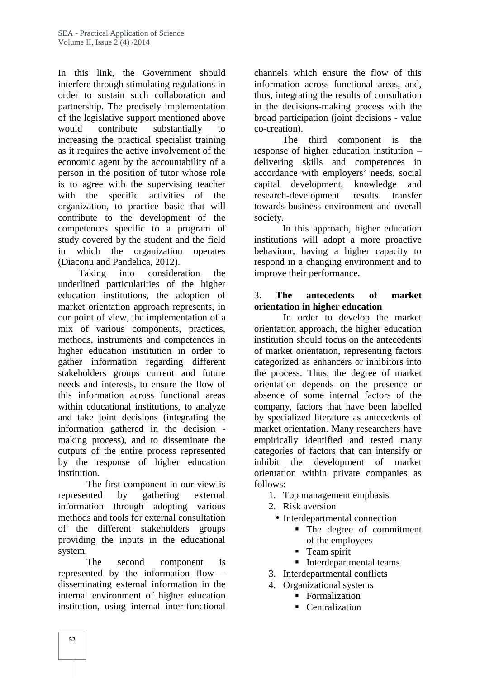In this link, the Government should interfere through stimulating regulations in order to sustain such collaboration and partnership. The precisely implementation of the legislative support mentioned above would contribute substantially to increasing the practical specialist training as it requires the active involvement of the economic agent by the accountability of a person in the position of tutor whose role is to agree with the supervising teacher with the specific activities of the organization, to practice basic that will contribute to the development of the competences specific to a program of study covered by the student and the field in which the organization operates (Diaconu and Pandelica, 2012).

Taking into consideration the underlined particularities of the higher education institutions, the adoption of market orientation approach represents, in our point of view, the implementation of a mix of various components, practices, methods, instruments and competences in higher education institution in order to gather information regarding different stakeholders groups current and future needs and interests, to ensure the flow of this information across functional areas within educational institutions, to analyze and take joint decisions (integrating the information gathered in the decision making process), and to disseminate the outputs of the entire process represented by the response of higher education institution.

The first component in our view is represented by gathering external information through adopting various methods and tools for external consultation of the different stakeholders groups providing the inputs in the educational system.

The second component is represented by the information flow – disseminating external information in the internal environment of higher education institution, using internal inter-functional

channels which ensure the flow of this information across functional areas, and, thus, integrating the results of consultation in the decisions-making process with the broad participation (joint decisions - value co-creation).

The third component is the response of higher education institution – delivering skills and competences in accordance with employers' needs, social capital development, knowledge and research-development results transfer towards business environment and overall society.

In this approach, higher education institutions will adopt a more proactive behaviour, having a higher capacity to respond in a changing environment and to improve their performance.

## 3. **The antecedents of market orientation in higher education**

In order to develop the market orientation approach, the higher education institution should focus on the antecedents of market orientation, representing factors categorized as enhancers or inhibitors into the process. Thus, the degree of market orientation depends on the presence or absence of some internal factors of the company, factors that have been labelled by specialized literature as antecedents of market orientation. Many researchers have empirically identified and tested many categories of factors that can intensify or inhibit the development of market orientation within private companies as follows:

- 1. Top management emphasis
- 2. Risk aversion
	- Interdepartmental connection
		- The degree of commitment of the employees
		- **Team spirit**
		- **Interdepartmental teams**
- 3. Interdepartmental conflicts
- 4. Organizational systems
	- **Formalization**
	- **Centralization**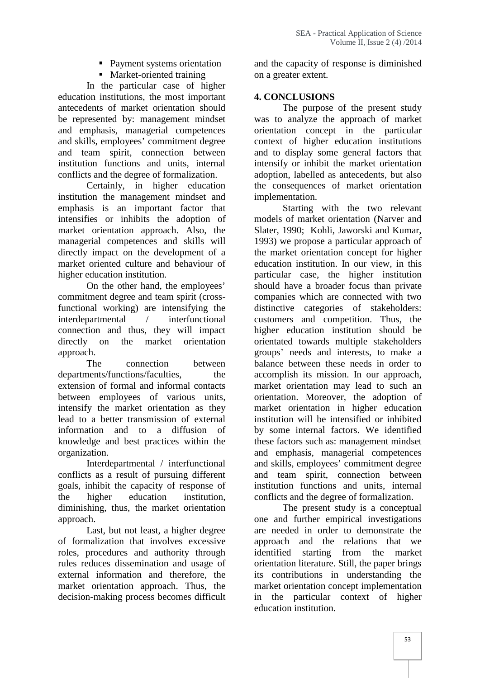- Payment systems orientation
- Market-oriented training

In the particular case of higher education institutions, the most important antecedents of market orientation should be represented by: management mindset and emphasis, managerial competences and skills, employees' commitment degree and team spirit, connection between institution functions and units, internal conflicts and the degree of formalization.

Certainly, in higher education institution the management mindset and emphasis is an important factor that intensifies or inhibits the adoption of market orientation approach. Also, the managerial competences and skills will directly impact on the development of a market oriented culture and behaviour of higher education institution.

On the other hand, the employees' commitment degree and team spirit (crossfunctional working) are intensifying the interdepartmental / interfunctional connection and thus, they will impact directly on the market orientation approach.

The connection between departments/functions/faculties, the extension of formal and informal contacts between employees of various units, intensify the market orientation as they lead to a better transmission of external information and to a diffusion of knowledge and best practices within the organization.

Interdepartmental / interfunctional conflicts as a result of pursuing different goals, inhibit the capacity of response of the higher education institution, diminishing, thus, the market orientation approach.

Last, but not least, a higher degree of formalization that involves excessive roles, procedures and authority through rules reduces dissemination and usage of external information and therefore, the market orientation approach. Thus, the decision-making process becomes difficult and the capacity of response is diminished on a greater extent.

## **4. CONCLUSIONS**

The purpose of the present study was to analyze the approach of market orientation concept in the particular context of higher education institutions and to display some general factors that intensify or inhibit the market orientation adoption, labelled as antecedents, but also the consequences of market orientation implementation.

Starting with the two relevant models of market orientation (Narver and Slater, 1990; Kohli, Jaworski and Kumar, 1993) we propose a particular approach of the market orientation concept for higher education institution. In our view, in this particular case, the higher institution should have a broader focus than private companies which are connected with two distinctive categories of stakeholders: customers and competition. Thus, the higher education institution should be orientated towards multiple stakeholders groups' needs and interests, to make a balance between these needs in order to accomplish its mission. In our approach, market orientation may lead to such an orientation. Moreover, the adoption of market orientation in higher education institution will be intensified or inhibited by some internal factors. We identified these factors such as: management mindset and emphasis, managerial competences and skills, employees' commitment degree and team spirit, connection between institution functions and units, internal conflicts and the degree of formalization.

The present study is a conceptual one and further empirical investigations are needed in order to demonstrate the approach and the relations that we identified starting from the market orientation literature. Still, the paper brings its contributions in understanding the market orientation concept implementation in the particular context of higher education institution.